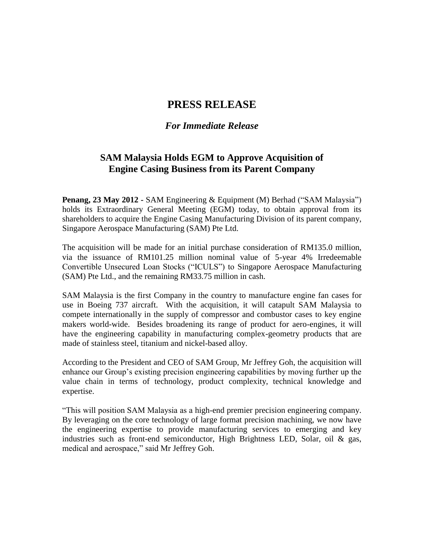## **PRESS RELEASE**

## *For Immediate Release*

## **SAM Malaysia Holds EGM to Approve Acquisition of Engine Casing Business from its Parent Company**

**Penang, 23 May 2012 -** SAM Engineering & Equipment (M) Berhad ("SAM Malaysia") holds its Extraordinary General Meeting (EGM) today, to obtain approval from its shareholders to acquire the Engine Casing Manufacturing Division of its parent company, Singapore Aerospace Manufacturing (SAM) Pte Ltd.

The acquisition will be made for an initial purchase consideration of RM135.0 million, via the issuance of RM101.25 million nominal value of 5-year 4% Irredeemable Convertible Unsecured Loan Stocks ("ICULS") to Singapore Aerospace Manufacturing (SAM) Pte Ltd., and the remaining RM33.75 million in cash.

SAM Malaysia is the first Company in the country to manufacture engine fan cases for use in Boeing 737 aircraft. With the acquisition, it will catapult SAM Malaysia to compete internationally in the supply of compressor and combustor cases to key engine makers world-wide. Besides broadening its range of product for aero-engines, it will have the engineering capability in manufacturing complex-geometry products that are made of stainless steel, titanium and nickel-based alloy.

According to the President and CEO of SAM Group, Mr Jeffrey Goh, the acquisition will enhance our Group's existing precision engineering capabilities by moving further up the value chain in terms of technology, product complexity, technical knowledge and expertise.

"This will position SAM Malaysia as a high-end premier precision engineering company. By leveraging on the core technology of large format precision machining, we now have the engineering expertise to provide manufacturing services to emerging and key industries such as front-end semiconductor, High Brightness LED, Solar, oil & gas, medical and aerospace," said Mr Jeffrey Goh.